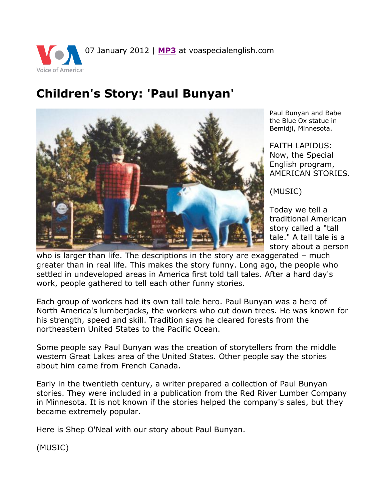07 January 2012 | **[MP3](http://www.voanews.com/MediaAssets2/learningenglish/dalet/se-as-paul-bunyan-7jan12.Mp3)** at voaspecialenglish.com Voice of America<sup>®</sup>

## **Children's Story: 'Paul Bunyan'**



Paul Bunyan and Babe the Blue Ox statue in Bemidji, Minnesota.

FAITH LAPIDUS: Now, the Special English program, AMERICAN STORIES.

(MUSIC)

Today we tell a traditional American story called a "tall tale." A tall tale is a story about a person

who is larger than life. The descriptions in the story are exaggerated – much greater than in real life. This makes the story funny. Long ago, the people who settled in undeveloped areas in America first told tall tales. After a hard day's work, people gathered to tell each other funny stories.

Each group of workers had its own tall tale hero. Paul Bunyan was a hero of North America's lumberjacks, the workers who cut down trees. He was known for his strength, speed and skill. Tradition says he cleared forests from the northeastern United States to the Pacific Ocean.

Some people say Paul Bunyan was the creation of storytellers from the middle western Great Lakes area of the United States. Other people say the stories about him came from French Canada.

Early in the twentieth century, a writer prepared a collection of Paul Bunyan stories. They were included in a publication from the Red River Lumber Company in Minnesota. It is not known if the stories helped the company's sales, but they became extremely popular.

Here is Shep O'Neal with our story about Paul Bunyan.

(MUSIC)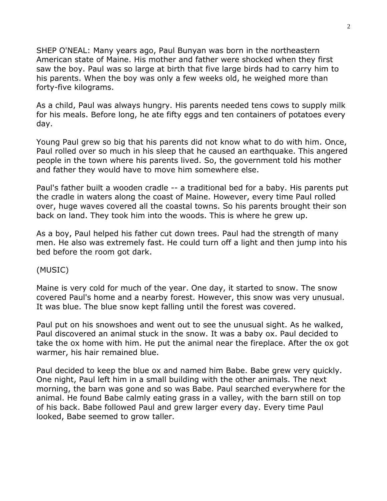SHEP O'NEAL: Many years ago, Paul Bunyan was born in the northeastern American state of Maine. His mother and father were shocked when they first saw the boy. Paul was so large at birth that five large birds had to carry him to his parents. When the boy was only a few weeks old, he weighed more than forty-five kilograms.

As a child, Paul was always hungry. His parents needed tens cows to supply milk for his meals. Before long, he ate fifty eggs and ten containers of potatoes every day.

Young Paul grew so big that his parents did not know what to do with him. Once, Paul rolled over so much in his sleep that he caused an earthquake. This angered people in the town where his parents lived. So, the government told his mother and father they would have to move him somewhere else.

Paul's father built a wooden cradle -- a traditional bed for a baby. His parents put the cradle in waters along the coast of Maine. However, every time Paul rolled over, huge waves covered all the coastal towns. So his parents brought their son back on land. They took him into the woods. This is where he grew up.

As a boy, Paul helped his father cut down trees. Paul had the strength of many men. He also was extremely fast. He could turn off a light and then jump into his bed before the room got dark.

(MUSIC)

Maine is very cold for much of the year. One day, it started to snow. The snow covered Paul's home and a nearby forest. However, this snow was very unusual. It was blue. The blue snow kept falling until the forest was covered.

Paul put on his snowshoes and went out to see the unusual sight. As he walked, Paul discovered an animal stuck in the snow. It was a baby ox. Paul decided to take the ox home with him. He put the animal near the fireplace. After the ox got warmer, his hair remained blue.

Paul decided to keep the blue ox and named him Babe. Babe grew very quickly. One night, Paul left him in a small building with the other animals. The next morning, the barn was gone and so was Babe. Paul searched everywhere for the animal. He found Babe calmly eating grass in a valley, with the barn still on top of his back. Babe followed Paul and grew larger every day. Every time Paul looked, Babe seemed to grow taller.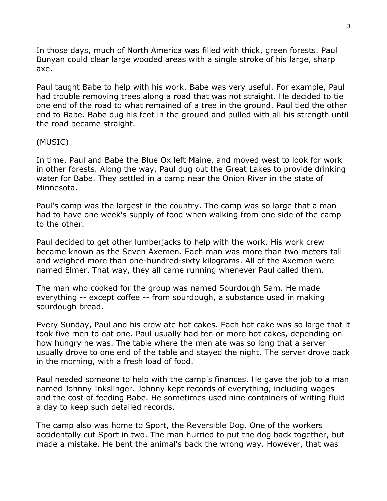In those days, much of North America was filled with thick, green forests. Paul Bunyan could clear large wooded areas with a single stroke of his large, sharp axe.

Paul taught Babe to help with his work. Babe was very useful. For example, Paul had trouble removing trees along a road that was not straight. He decided to tie one end of the road to what remained of a tree in the ground. Paul tied the other end to Babe. Babe dug his feet in the ground and pulled with all his strength until the road became straight.

## (MUSIC)

In time, Paul and Babe the Blue Ox left Maine, and moved west to look for work in other forests. Along the way, Paul dug out the Great Lakes to provide drinking water for Babe. They settled in a camp near the Onion River in the state of Minnesota.

Paul's camp was the largest in the country. The camp was so large that a man had to have one week's supply of food when walking from one side of the camp to the other.

Paul decided to get other lumberjacks to help with the work. His work crew became known as the Seven Axemen. Each man was more than two meters tall and weighed more than one-hundred-sixty kilograms. All of the Axemen were named Elmer. That way, they all came running whenever Paul called them.

The man who cooked for the group was named Sourdough Sam. He made everything -- except coffee -- from sourdough, a substance used in making sourdough bread.

Every Sunday, Paul and his crew ate hot cakes. Each hot cake was so large that it took five men to eat one. Paul usually had ten or more hot cakes, depending on how hungry he was. The table where the men ate was so long that a server usually drove to one end of the table and stayed the night. The server drove back in the morning, with a fresh load of food.

Paul needed someone to help with the camp's finances. He gave the job to a man named Johnny Inkslinger. Johnny kept records of everything, including wages and the cost of feeding Babe. He sometimes used nine containers of writing fluid a day to keep such detailed records.

The camp also was home to Sport, the Reversible Dog. One of the workers accidentally cut Sport in two. The man hurried to put the dog back together, but made a mistake. He bent the animal's back the wrong way. However, that was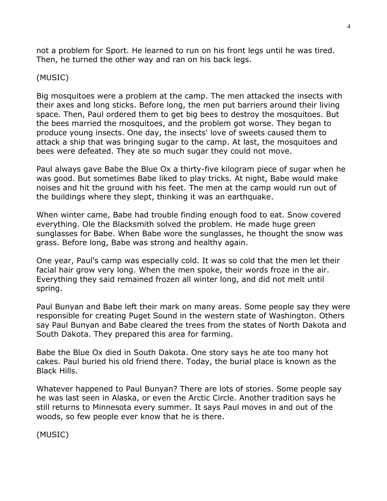not a problem for Sport. He learned to run on his front legs until he was tired. Then, he turned the other way and ran on his back legs.

## (MUSIC)

Big mosquitoes were a problem at the camp. The men attacked the insects with their axes and long sticks. Before long, the men put barriers around their living space. Then, Paul ordered them to get big bees to destroy the mosquitoes. But the bees married the mosquitoes, and the problem got worse. They began to produce young insects. One day, the insects' love of sweets caused them to attack a ship that was bringing sugar to the camp. At last, the mosquitoes and bees were defeated. They ate so much sugar they could not move.

Paul always gave Babe the Blue Ox a thirty-five kilogram piece of sugar when he was good. But sometimes Babe liked to play tricks. At night, Babe would make noises and hit the ground with his feet. The men at the camp would run out of the buildings where they slept, thinking it was an earthquake.

When winter came, Babe had trouble finding enough food to eat. Snow covered everything. Ole the Blacksmith solved the problem. He made huge green sunglasses for Babe. When Babe wore the sunglasses, he thought the snow was grass. Before long, Babe was strong and healthy again.

One year, Paul's camp was especially cold. It was so cold that the men let their facial hair grow very long. When the men spoke, their words froze in the air. Everything they said remained frozen all winter long, and did not melt until spring.

Paul Bunyan and Babe left their mark on many areas. Some people say they were responsible for creating Puget Sound in the western state of Washington. Others say Paul Bunyan and Babe cleared the trees from the states of North Dakota and South Dakota. They prepared this area for farming.

Babe the Blue Ox died in South Dakota. One story says he ate too many hot cakes. Paul buried his old friend there. Today, the burial place is known as the Black Hills.

Whatever happened to Paul Bunyan? There are lots of stories. Some people say he was last seen in Alaska, or even the Arctic Circle. Another tradition says he still returns to Minnesota every summer. It says Paul moves in and out of the woods, so few people ever know that he is there.

(MUSIC)